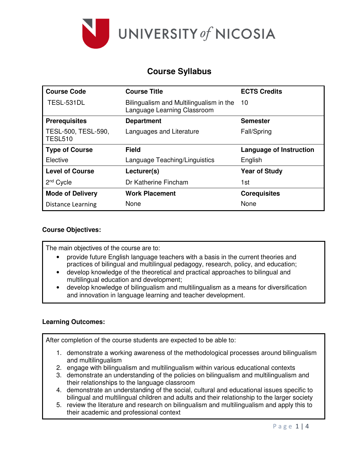

## **Course Syllabus**

| <b>Course Code</b>                    | <b>Course Title</b>                                                    | <b>ECTS Credits</b>            |
|---------------------------------------|------------------------------------------------------------------------|--------------------------------|
| TESL-531DL                            | Bilingualism and Multilingualism in the<br>Language Learning Classroom | 10                             |
| <b>Prerequisites</b>                  | <b>Department</b>                                                      | <b>Semester</b>                |
| TESL-500, TESL-590,<br><b>TESL510</b> | Languages and Literature                                               | Fall/Spring                    |
| <b>Type of Course</b>                 | <b>Field</b>                                                           | <b>Language of Instruction</b> |
| Elective                              | Language Teaching/Linguistics                                          | English                        |
| <b>Level of Course</b>                | Lecturer(s)                                                            | <b>Year of Study</b>           |
| $2nd$ Cycle                           | Dr Katherine Fincham                                                   | 1st                            |
| <b>Mode of Delivery</b>               | <b>Work Placement</b>                                                  | <b>Corequisites</b>            |
| <b>Distance Learning</b>              | None                                                                   | None                           |

### **Course Objectives:**

The main objectives of the course are to:

- provide future English language teachers with a basis in the current theories and practices of bilingual and multilingual pedagogy, research, policy, and education;
- develop knowledge of the theoretical and practical approaches to bilingual and multilingual education and development;
- develop knowledge of bilingualism and multilingualism as a means for diversification and innovation in language learning and teacher development.

#### **Learning Outcomes:**

After completion of the course students are expected to be able to:

- 1. demonstrate a working awareness of the methodological processes around bilingualism and multilingualism
- 2. engage with bilingualism and multilingualism within various educational contexts
- 3. demonstrate an understanding of the policies on bilingualism and multilingualism and their relationships to the language classroom
- 4. demonstrate an understanding of the social, cultural and educational issues specific to bilingual and multilingual children and adults and their relationship to the larger society
- 5. review the literature and research on bilingualism and multilingualism and apply this to their academic and professional context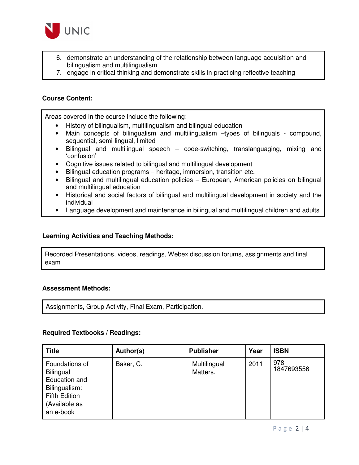

- 6. demonstrate an understanding of the relationship between language acquisition and bilingualism and multilingualism
- 7. engage in critical thinking and demonstrate skills in practicing reflective teaching

#### **Course Content:**

Areas covered in the course include the following:

- History of bilingualism, multilingualism and bilingual education
- Main concepts of bilingualism and multilingualism –types of bilinguals compound, sequential, semi-lingual, limited
- Bilingual and multilingual speech code-switching, translanguaging, mixing and 'confusion'
- Cognitive issues related to bilingual and multilingual development
- Bilingual education programs heritage, immersion, transition etc.
- Bilingual and multilingual education policies European, American policies on bilingual and multilingual education
- Historical and social factors of bilingual and multilingual development in society and the individual
- Language development and maintenance in bilingual and multilingual children and adults

#### **Learning Activities and Teaching Methods:**

Recorded Presentations, videos, readings, Webex discussion forums, assignments and final exam

#### **Assessment Methods:**

Assignments, Group Activity, Final Exam, Participation.

#### **Required Textbooks / Readings:**

| <b>Title</b>                                                                                                        | Author(s) | <b>Publisher</b>         | Year | <b>ISBN</b>        |
|---------------------------------------------------------------------------------------------------------------------|-----------|--------------------------|------|--------------------|
| Foundations of<br>Bilingual<br>Education and<br>Bilingualism:<br><b>Fifth Edition</b><br>(Available as<br>an e-book | Baker, C. | Multilingual<br>Matters. | 2011 | 978-<br>1847693556 |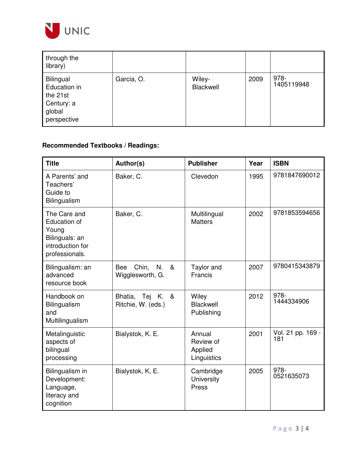

| through the<br>library)                                                      |            |                     |      |                    |
|------------------------------------------------------------------------------|------------|---------------------|------|--------------------|
| Bilingual<br>Education in<br>the 21st<br>Century: a<br>global<br>perspective | Garcia, O. | Wiley-<br>Blackwell | 2009 | 978-<br>1405119948 |

# **Recommended Textbooks / Readings:**

| <b>Title</b>                                                                                  | Author(s)                                       | <b>Publisher</b>                              | Year | <b>ISBN</b>              |
|-----------------------------------------------------------------------------------------------|-------------------------------------------------|-----------------------------------------------|------|--------------------------|
| A Parents' and<br>Teachers'<br>Guide to<br>Bilingualism                                       | Baker, C.                                       | Clevedon                                      | 1995 | 9781847690012            |
| The Care and<br>Education of<br>Young<br>Bilinguals: an<br>introduction for<br>professionals. | Baker, C.                                       | Multilingual<br><b>Matters</b>                | 2002 | 9781853594656            |
| Bilingualism: an<br>advanced<br>resource book                                                 | Chin, N.<br>&<br><b>Bee</b><br>Wigglesworth, G. | Taylor and<br>Francis                         | 2007 | 9780415343879            |
| Handbook on<br>Bilingualism<br>and<br>Multilingualism                                         | Bhatia, Tej K. &<br>Ritchie, W. (eds.)          | Wiley<br>Blackwell<br>Publishing              | 2012 | 978-<br>1444334906       |
| Metalinguistic<br>aspects of<br>bilingual<br>processing                                       | Bialystok, K. E.                                | Annual<br>Review of<br>Applied<br>Linguistics | 2001 | Vol. 21 pp. 169 -<br>181 |
| Bilingualism in<br>Development:<br>Language,<br>literacy and<br>cognition                     | Bialystok, K, E.                                | Cambridge<br>University<br>Press              | 2005 | 978-<br>0521635073       |